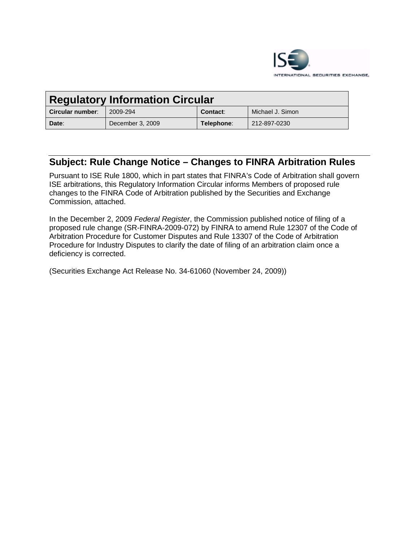

| <b>Regulatory Information Circular</b> |                  |            |                  |
|----------------------------------------|------------------|------------|------------------|
| Circular number:                       | 2009-294         | Contact:   | Michael J. Simon |
| Date:                                  | December 3, 2009 | Telephone: | 212-897-0230     |

# **Subject: Rule Change Notice – Changes to FINRA Arbitration Rules**

Pursuant to ISE Rule 1800, which in part states that FINRA's Code of Arbitration shall govern ISE arbitrations, this Regulatory Information Circular informs Members of proposed rule changes to the FINRA Code of Arbitration published by the Securities and Exchange Commission, attached.

In the December 2, 2009 *Federal Register*, the Commission published notice of filing of a proposed rule change (SR-FINRA-2009-072) by FINRA to amend Rule 12307 of the Code of Arbitration Procedure for Customer Disputes and Rule 13307 of the Code of Arbitration Procedure for Industry Disputes to clarify the date of filing of an arbitration claim once a deficiency is corrected.

(Securities Exchange Act Release No. 34-61060 (November 24, 2009))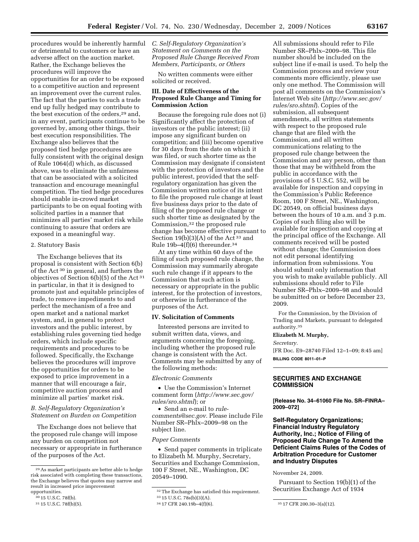procedures would be inherently harmful *C. Self-Regulatory Organization's*  or detrimental to customers or have an adverse affect on the auction market. Rather, the Exchange believes the procedures will improve the opportunities for an order to be exposed to a competitive auction and represent an improvement over the current rules. The fact that the parties to such a trade end up fully hedged may contribute to the best execution of the orders,29 and, in any event, participants continue to be governed by, among other things, their best execution responsibilities. The Exchange also believes that the proposed tied hedge procedures are fully consistent with the original design of Rule 1064(d) which, as discussed above, was to eliminate the unfairness that can be associated with a solicited transaction and encourage meaningful competition. The tied hedge procedures should enable in-crowd market participants to be on equal footing with solicited parties in a manner that minimizes all parties' market risk while continuing to assure that orders are exposed in a meaningful way.

# 2. Statutory Basis

The Exchange believes that its proposal is consistent with Section 6(b) of the Act 30 in general, and furthers the objectives of Section  $6(b)(5)$  of the Act  $31$ in particular, in that it is designed to promote just and equitable principles of trade, to remove impediments to and perfect the mechanism of a free and open market and a national market system, and, in general to protect investors and the public interest, by establishing rules governing tied hedge orders, which include specific requirements and procedures to be followed. Specifically, the Exchange believes the procedures will improve the opportunities for orders to be exposed to price improvement in a manner that will encourage a fair, competitive auction process and minimize all parties' market risk.

#### *B. Self-Regulatory Organization's Statement on Burden on Competition*

The Exchange does not believe that the proposed rule change will impose any burden on competition not necessary or appropriate in furtherance of the purposes of the Act.

*Statement on Comments on the Proposed Rule Change Received From Members, Participants, or Others* 

No written comments were either solicited or received.

# **III. Date of Effectiveness of the Proposed Rule Change and Timing for Commission Action**

Because the foregoing rule does not (i) Significantly affect the protection of investors or the public interest; (ii) impose any significant burden on competition; and (iii) become operative for 30 days from the date on which it was filed, or such shorter time as the Commission may designate if consistent with the protection of investors and the public interest, provided that the selfregulatory organization has given the Commission written notice of its intent to file the proposed rule change at least five business days prior to the date of filing of the proposed rule change or such shorter time as designated by the Commission,32 the proposed rule change has become effective pursuant to Section 19(b)(3)(A) of the Act  $33$  and Rule  $19b-4(f)(6)$  thereunder.<sup>34</sup>

At any time within 60 days of the filing of such proposed rule change, the Commission may summarily abrogate such rule change if it appears to the Commission that such action is necessary or appropriate in the public interest, for the protection of investors, or otherwise in furtherance of the purposes of the Act.

#### **IV. Solicitation of Comments**

Interested persons are invited to submit written data, views, and arguments concerning the foregoing, including whether the proposed rule change is consistent with the Act. Comments may be submitted by any of the following methods:

*Electronic Comments* 

• Use the Commission's Internet comment form (*http://www.sec.gov/ rules/sro.shtml*); or

• Send an e-mail to *rulecomments@sec.gov.* Please include File Number SR–Phlx–2009–98 on the subject line.

#### *Paper Comments*

• Send paper comments in triplicate to Elizabeth M. Murphy, Secretary, Securities and Exchange Commission, 100 F Street, NE., Washington, DC 20549–1090.

All submissions should refer to File Number SR–Phlx–2009–98. This file number should be included on the subject line if e-mail is used. To help the Commission process and review your comments more efficiently, please use only one method. The Commission will post all comments on the Commission's Internet Web site (*http://www.sec.gov/ rules/sro.shtml*). Copies of the submission, all subsequent amendments, all written statements with respect to the proposed rule change that are filed with the Commission, and all written communications relating to the proposed rule change between the Commission and any person, other than those that may be withheld from the public in accordance with the provisions of 5 U.S.C. 552, will be available for inspection and copying in the Commission's Public Reference Room, 100 F Street, NE., Washington, DC 20549, on official business days between the hours of 10 a.m. and 3 p.m. Copies of such filing also will be available for inspection and copying at the principal office of the Exchange. All comments received will be posted without change; the Commission does not edit personal identifying information from submissions. You should submit only information that you wish to make available publicly. All submissions should refer to File Number SR–Phlx–2009–98 and should be submitted on or before December 23, 2009.

For the Commission, by the Division of Trading and Markets, pursuant to delegated authority.35

# **Elizabeth M. Murphy,**

*Secretary.* 

[FR Doc. E9–28740 Filed 12–1–09; 8:45 am] **BILLING CODE 8011–01–P** 

# **SECURITIES AND EXCHANGE COMMISSION**

**[Release No. 34–61060 File No. SR–FINRA– 2009–072]** 

**Self-Regulatory Organizations; Financial Industry Regulatory Authority, Inc.; Notice of Filing of Proposed Rule Change To Amend the Deficient Claims Rules of the Codes of Arbitration Procedure for Customer and Industry Disputes** 

November 24, 2009.

Pursuant to Section 19(b)(1) of the Securities Exchange Act of 1934

<sup>29</sup>As market participants are better able to hedge risk associated with completing these transactions, the Exchange believes that quotes may narrow and result in increased price improvement opportunities.

<sup>30</sup> 15 U.S.C. 78f(b).

<sup>31</sup> 15 U.S.C. 78f(b)(5).

<sup>32</sup>The Exchange has satisfied this requirement.

<sup>&</sup>lt;sup>33</sup> 15 U.S.C. 78s(b)(3)(A).<br><sup>34</sup> 17 CFR 240.19b-4(f)(6).

<sup>35 17</sup> CFR 200.30-3(a)(12).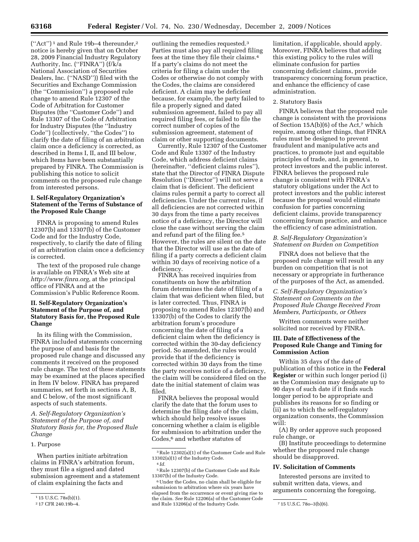$("Act")^1$  and Rule 19b-4 thereunder,<sup>2</sup> notice is hereby given that on October 28, 2009 Financial Industry Regulatory Authority, Inc. (''FINRA'') (f/k/a National Association of Securities Dealers, Inc. (''NASD'')) filed with the Securities and Exchange Commission (the ''Commission'') a proposed rule change to amend Rule 12307 of the Code of Arbitration for Customer Disputes (the ''Customer Code'') and Rule 13307 of the Code of Arbitration for Industry Disputes (the ''Industry Code'') (collectively, ''the Codes'') to clarify the date of filing of an arbitration claim once a deficiency is corrected, as described in Items I, II, and III below, which Items have been substantially prepared by FINRA. The Commission is publishing this notice to solicit comments on the proposed rule change from interested persons.

#### **I. Self-Regulatory Organization's Statement of the Terms of Substance of the Proposed Rule Change**

FINRA is proposing to amend Rules 12307(b) and 13307(b) of the Customer Code and for the Industry Code, respectively, to clarify the date of filing of an arbitration claim once a deficiency is corrected.

The text of the proposed rule change is available on FINRA's Web site at *http://www.finra.org*, at the principal office of FINRA and at the Commission's Public Reference Room.

# **II. Self-Regulatory Organization's Statement of the Purpose of, and Statutory Basis for, the Proposed Rule Change**

In its filing with the Commission, FINRA included statements concerning the purpose of and basis for the proposed rule change and discussed any comments it received on the proposed rule change. The text of these statements may be examined at the places specified in Item IV below. FINRA has prepared summaries, set forth in sections A, B, and C below, of the most significant aspects of such statements.

*A. Self-Regulatory Organization's Statement of the Purpose of, and Statutory Basis for, the Proposed Rule Change* 

#### 1. Purpose

When parties initiate arbitration claims in FINRA's arbitration forum, they must file a signed and dated submission agreement and a statement of claim explaining the facts and

outlining the remedies requested.3 Parties must also pay all required filing fees at the time they file their claims.4 If a party's claims do not meet the criteria for filing a claim under the Codes or otherwise do not comply with the Codes, the claims are considered deficient. A claim may be deficient because, for example, the party failed to file a properly signed and dated submission agreement, failed to pay all required filing fees, or failed to file the correct number of copies of the submission agreement, statement of claim or other supporting documents.

Currently, Rule 12307 of the Customer Code and Rule 13307 of the Industry Code, which address deficient claims (hereinafter, ''deficient claims rules''), state that the Director of FINRA Dispute Resolution (''Director'') will not serve a claim that is deficient. The deficient claims rules permit a party to correct all deficiencies. Under the current rules, if all deficiencies are not corrected within 30 days from the time a party receives notice of a deficiency, the Director will close the case without serving the claim and refund part of the filing fee.5 However, the rules are silent on the date that the Director will use as the date of filing if a party corrects a deficient claim within 30 days of receiving notice of a deficiency.

FINRA has received inquiries from constituents on how the arbitration forum determines the date of filing of a claim that was deficient when filed, but is later corrected. Thus, FINRA is proposing to amend Rules 12307(b) and 13307(b) of the Codes to clarify the arbitration forum's procedure concerning the date of filing of a deficient claim when the deficiency is corrected within the 30-day deficiency period. So amended, the rules would provide that if the deficiency is corrected within 30 days from the time the party receives notice of a deficiency, the claim will be considered filed on the date the initial statement of claim was filed.

FINRA believes the proposal would clarify the date that the forum uses to determine the filing date of the claim, which should help resolve issues concerning whether a claim is eligible for submission to arbitration under the Codes,<sup>6</sup> and whether statutes of

limitation, if applicable, should apply. Moreover, FINRA believes that adding this existing policy to the rules will eliminate confusion for parties concerning deficient claims, provide transparency concerning forum practice, and enhance the efficiency of case administration.

#### 2. Statutory Basis

FINRA believes that the proposed rule change is consistent with the provisions of Section 15A(b)(6) of the Act,7 which require, among other things, that FINRA rules must be designed to prevent fraudulent and manipulative acts and practices, to promote just and equitable principles of trade, and, in general, to protect investors and the public interest. FINRA believes the proposed rule change is consistent with FINRA's statutory obligations under the Act to protect investors and the public interest because the proposal would eliminate confusion for parties concerning deficient claims, provide transparency concerning forum practice, and enhance the efficiency of case administration.

#### *B. Self-Regulatory Organization's Statement on Burden on Competition*

FINRA does not believe that the proposed rule change will result in any burden on competition that is not necessary or appropriate in furtherance of the purposes of the Act, as amended.

#### *C. Self-Regulatory Organization's Statement on Comments on the Proposed Rule Change Received From Members, Participants, or Others*

Written comments were neither solicited nor received by FINRA.

#### **III. Date of Effectiveness of the Proposed Rule Change and Timing for Commission Action**

Within 35 days of the date of publication of this notice in the **Federal Register** or within such longer period (i) as the Commission may designate up to 90 days of such date if it finds such longer period to be appropriate and publishes its reasons for so finding or (ii) as to which the self-regulatory organization consents, the Commission will:

(A) By order approve such proposed rule change, or

(B) Institute proceedings to determine whether the proposed rule change should be disapproved.

# **IV. Solicitation of Comments**

Interested persons are invited to submit written data, views, and arguments concerning the foregoing,

<sup>1</sup> 15 U.S.C. 78s(b)(1).

<sup>2</sup> 17 CFR 240.19b–4.

<sup>3</sup>Rule 12302(a)(1) of the Customer Code and Rule 13302(a)(1) of the Industry Code. 4 *Id.* 

<sup>5</sup>Rule 12307(b) of the Customer Code and Rule 13307(b) of the Industry Code.

<sup>6</sup>Under the Codes, no claim shall be eligible for submission to arbitration where six years have elapsed from the occurrence or event giving rise to the claim. *See* Rule 12206(a) of the Customer Code and Rule 13206(a) of the Industry Code. 715 U.S.C. 780-3(b)(6).